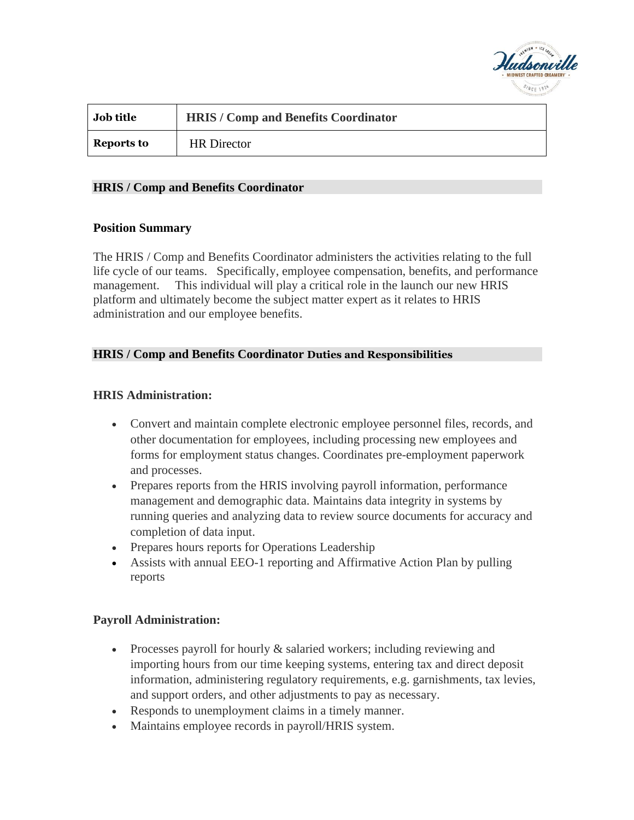

| <b>Job title</b> | <b>HRIS / Comp and Benefits Coordinator</b> |
|------------------|---------------------------------------------|
| Reports to       | <b>HR</b> Director                          |

### **HRIS / Comp and Benefits Coordinator**

### **Position Summary**

The HRIS / Comp and Benefits Coordinator administers the activities relating to the full life cycle of our teams. Specifically, employee compensation, benefits, and performance management. This individual will play a critical role in the launch our new HRIS platform and ultimately become the subject matter expert as it relates to HRIS administration and our employee benefits.

### **HRIS / Comp and Benefits Coordinator Duties and Responsibilities**

### **HRIS Administration:**

- Convert and maintain complete electronic employee personnel files, records, and other documentation for employees, including processing new employees and forms for employment status changes. Coordinates pre-employment paperwork and processes.
- Prepares reports from the HRIS involving payroll information, performance management and demographic data. Maintains data integrity in systems by running queries and analyzing data to review source documents for accuracy and completion of data input.
- Prepares hours reports for Operations Leadership
- Assists with annual EEO-1 reporting and Affirmative Action Plan by pulling reports

#### **Payroll Administration:**

- Processes payroll for hourly & salaried workers; including reviewing and importing hours from our time keeping systems, entering tax and direct deposit information, administering regulatory requirements, e.g. garnishments, tax levies, and support orders, and other adjustments to pay as necessary.
- Responds to unemployment claims in a timely manner.
- Maintains employee records in payroll/HRIS system.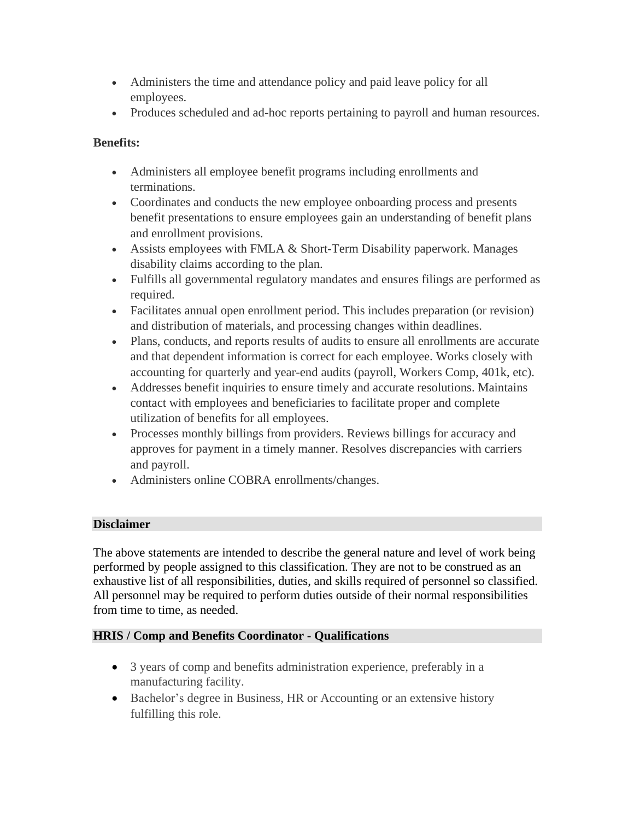- Administers the time and attendance policy and paid leave policy for all employees.
- Produces scheduled and ad-hoc reports pertaining to payroll and human resources.

## **Benefits:**

- Administers all employee benefit programs including enrollments and terminations.
- Coordinates and conducts the new employee onboarding process and presents benefit presentations to ensure employees gain an understanding of benefit plans and enrollment provisions.
- Assists employees with FMLA & Short-Term Disability paperwork. Manages disability claims according to the plan.
- Fulfills all governmental regulatory mandates and ensures filings are performed as required.
- Facilitates annual open enrollment period. This includes preparation (or revision) and distribution of materials, and processing changes within deadlines.
- Plans, conducts, and reports results of audits to ensure all enrollments are accurate and that dependent information is correct for each employee. Works closely with accounting for quarterly and year-end audits (payroll, Workers Comp, 401k, etc).
- Addresses benefit inquiries to ensure timely and accurate resolutions. Maintains contact with employees and beneficiaries to facilitate proper and complete utilization of benefits for all employees.
- Processes monthly billings from providers. Reviews billings for accuracy and approves for payment in a timely manner. Resolves discrepancies with carriers and payroll.
- Administers online COBRA enrollments/changes.

# **Disclaimer**

The above statements are intended to describe the general nature and level of work being performed by people assigned to this classification. They are not to be construed as an exhaustive list of all responsibilities, duties, and skills required of personnel so classified. All personnel may be required to perform duties outside of their normal responsibilities from time to time, as needed.

# **HRIS / Comp and Benefits Coordinator - Qualifications**

- 3 years of comp and benefits administration experience, preferably in a manufacturing facility.
- Bachelor's degree in Business, HR or Accounting or an extensive history fulfilling this role.